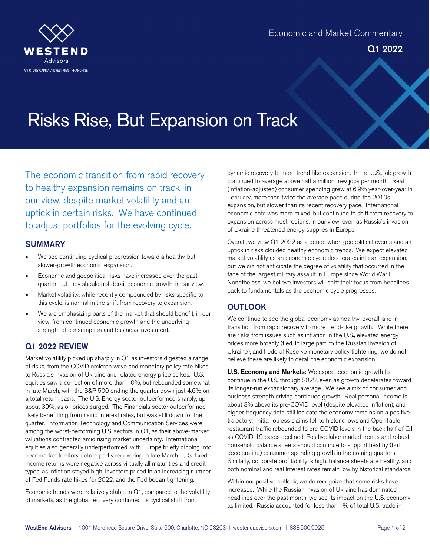

# Risks Rise, But Expansion on Track

The economic transition from rapid recovery to healthy expansion remains on track, in our view, despite market volatility and an uptick in certain risks. We have continued to adjust portfolios for the evolving cycle.

#### **SUMMARY**

- We see continuing cyclical progression toward a healthy-butslower-growth economic expansion.
- Economic and geopolitical risks have increased over the past quarter, but they should not derail economic growth, in our view.
- Market volatility, while recently compounded by risks specific to this cycle, is normal in the shift from recovery to expansion.
- We are emphasizing parts of the market that should benefit, in our view, from continued economic growth and the underlying strength of consumption and business investment.

## Q1 2022 REVIEW

Market volatility picked up sharply in Q1 as investors digested a range of risks, from the COVID omicron wave and monetary policy rate hikes to Russia's invasion of Ukraine and related energy price spikes. U.S. equities saw a correction of more than 10%, but rebounded somewhat in late March, with the S&P 500 ending the quarter down just 4.6% on a total return basis. The U.S. Energy sector outperformed sharply, up about 39%, as oil prices surged. The Financials sector outperformed, likely benefitting from rising interest rates, but was still down for the quarter. Information Technology and Communication Services were among the worst-performing U.S. sectors in Q1, as their above-market valuations contracted amid rising market uncertainty. International equities also generally underperformed, with Europe briefly dipping into bear market territory before partly recovering in late March. U.S. fixed income returns were negative across virtually all maturities and credit types, as inflation stayed high, investors priced in an increasing number of Fed Funds rate hikes for 2022, and the Fed began tightening.

Economic trends were relatively stable in Q1, compared to the volatility of markets, as the global recovery continued its cyclical shift from

dynamic recovery to more trend-like expansion. In the U.S., job growth continued to average above half a million new jobs per month. Real (inflation-adjusted) consumer spending grew at 6.9% year-over-year in February, more than twice the average pace during the 2010s expansion, but slower than its recent recovery pace. International economic data was more mixed, but continued to shift from recovery to expansion across most regions, in our view, even as Russia's invasion of Ukraine threatened energy supplies in Europe.

Overall, we view Q1 2022 as a period when geopolitical events and an uptick in risks clouded healthy economic trends. We expect elevated market volatility as an economic cycle decelerates into an expansion, but we did not anticipate the degree of volatility that occurred in the face of the largest military assault in Europe since World War II. Nonetheless, we believe investors will shift their focus from headlines back to fundamentals as the economic cycle progresses.

## **OUTLOOK**

We continue to see the global economy as healthy, overall, and in transition from rapid recovery to more trend-like growth. While there are risks from issues such as inflation in the U.S., elevated energy prices more broadly (tied, in large part, to the Russian invasion of Ukraine), and Federal Reserve monetary policy tightening, we do not believe these are likely to derail the economic expansion.

U.S. Economy and Markets: We expect economic growth to continue in the U.S. through 2022, even as growth decelerates toward its longer-run expansionary average. We see a mix of consumer and business strength driving continued growth. Real personal income is about 3% above its pre-COVID level (despite elevated inflation), and higher frequency data still indicate the economy remains on a positive trajectory. Initial jobless claims fell to historic lows and OpenTable restaurant traffic rebounded to pre-COVID levels in the back half of Q1 as COVID-19 cases declined. Positive labor market trends and robust household balance sheets should continue to support healthy (but decelerating) consumer spending growth in the coming quarters. Similarly, corporate profitability is high, balance sheets are healthy, and both nominal and real interest rates remain low by historical standards.

Within our positive outlook, we do recognize that some risks have increased. While the Russian invasion of Ukraine has dominated headlines over the past month, we see its impact on the U.S. economy as limited. Russia accounted for less than 1% of total U.S. trade in